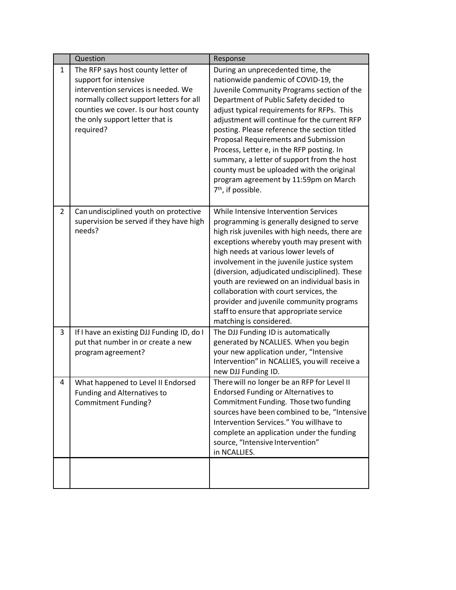|                | Question                                                                                                                                                                                                                                | Response                                                                                                                                                                                                                                                                                                                                                                                                                                                                                                                                                                          |
|----------------|-----------------------------------------------------------------------------------------------------------------------------------------------------------------------------------------------------------------------------------------|-----------------------------------------------------------------------------------------------------------------------------------------------------------------------------------------------------------------------------------------------------------------------------------------------------------------------------------------------------------------------------------------------------------------------------------------------------------------------------------------------------------------------------------------------------------------------------------|
| $\mathbf{1}$   | The RFP says host county letter of<br>support for intensive<br>intervention services is needed. We<br>normally collect support letters for all<br>counties we cover. Is our host county<br>the only support letter that is<br>required? | During an unprecedented time, the<br>nationwide pandemic of COVID-19, the<br>Juvenile Community Programs section of the<br>Department of Public Safety decided to<br>adjust typical requirements for RFPs. This<br>adjustment will continue for the current RFP<br>posting. Please reference the section titled<br><b>Proposal Requirements and Submission</b><br>Process, Letter e, in the RFP posting. In<br>summary, a letter of support from the host<br>county must be uploaded with the original<br>program agreement by 11:59pm on March<br>7 <sup>th</sup> , if possible. |
| $\overline{2}$ | Can undisciplined youth on protective<br>supervision be served if they have high<br>needs?                                                                                                                                              | While Intensive Intervention Services<br>programming is generally designed to serve<br>high risk juveniles with high needs, there are<br>exceptions whereby youth may present with<br>high needs at various lower levels of<br>involvement in the juvenile justice system<br>(diversion, adjudicated undisciplined). These<br>youth are reviewed on an individual basis in<br>collaboration with court services, the<br>provider and juvenile community programs<br>staff to ensure that appropriate service<br>matching is considered.                                           |
| 3              | If I have an existing DJJ Funding ID, do I<br>put that number in or create a new<br>program agreement?                                                                                                                                  | The DJJ Funding ID is automatically<br>generated by NCALLIES. When you begin<br>your new application under, "Intensive<br>Intervention" in NCALLIES, you will receive a<br>new DJJ Funding ID.                                                                                                                                                                                                                                                                                                                                                                                    |
| 4              | What happened to Level II Endorsed<br>Funding and Alternatives to<br>Commitment Funding?                                                                                                                                                | There will no longer be an RFP for Level II<br><b>Endorsed Funding or Alternatives to</b><br>Commitment Funding. Those two funding<br>sources have been combined to be, "Intensive<br>Intervention Services." You willhave to<br>complete an application under the funding<br>source, "Intensive Intervention"<br>in NCALLIES.                                                                                                                                                                                                                                                    |
|                |                                                                                                                                                                                                                                         |                                                                                                                                                                                                                                                                                                                                                                                                                                                                                                                                                                                   |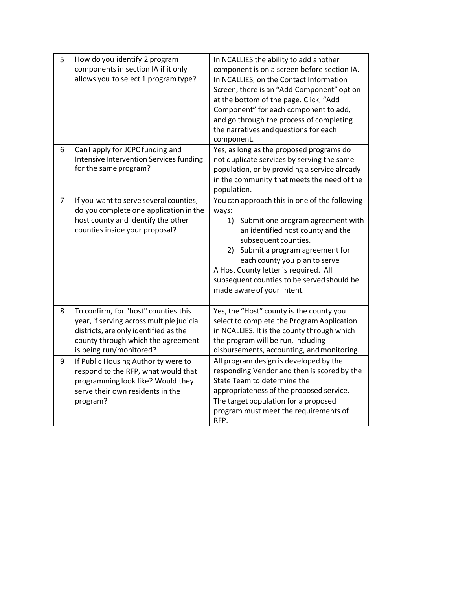| 5 | How do you identify 2 program<br>components in section IA if it only<br>allows you to select 1 program type?                                                                                | In NCALLIES the ability to add another<br>component is on a screen before section IA.<br>In NCALLIES, on the Contact Information<br>Screen, there is an "Add Component" option<br>at the bottom of the page. Click, "Add<br>Component" for each component to add,<br>and go through the process of completing<br>the narratives and questions for each<br>component. |
|---|---------------------------------------------------------------------------------------------------------------------------------------------------------------------------------------------|----------------------------------------------------------------------------------------------------------------------------------------------------------------------------------------------------------------------------------------------------------------------------------------------------------------------------------------------------------------------|
| 6 | Can I apply for JCPC funding and<br>Intensive Intervention Services funding<br>for the same program?                                                                                        | Yes, as long as the proposed programs do<br>not duplicate services by serving the same<br>population, or by providing a service already<br>in the community that meets the need of the<br>population.                                                                                                                                                                |
| 7 | If you want to serve several counties,<br>do you complete one application in the<br>host county and identify the other<br>counties inside your proposal?                                    | You can approach this in one of the following<br>ways:<br>1)<br>Submit one program agreement with<br>an identified host county and the<br>subsequent counties.<br>2) Submit a program agreement for<br>each county you plan to serve<br>A Host County letter is required. All<br>subsequent counties to be served should be<br>made aware of your intent.            |
| 8 | To confirm, for "host" counties this<br>year, if serving across multiple judicial<br>districts, are only identified as the<br>county through which the agreement<br>is being run/monitored? | Yes, the "Host" county is the county you<br>select to complete the Program Application<br>in NCALLIES. It is the county through which<br>the program will be run, including<br>disbursements, accounting, and monitoring.                                                                                                                                            |
| 9 | If Public Housing Authority were to<br>respond to the RFP, what would that<br>programming look like? Would they<br>serve their own residents in the<br>program?                             | All program design is developed by the<br>responding Vendor and then is scored by the<br>State Team to determine the<br>appropriateness of the proposed service.<br>The target population for a proposed<br>program must meet the requirements of<br>RFP.                                                                                                            |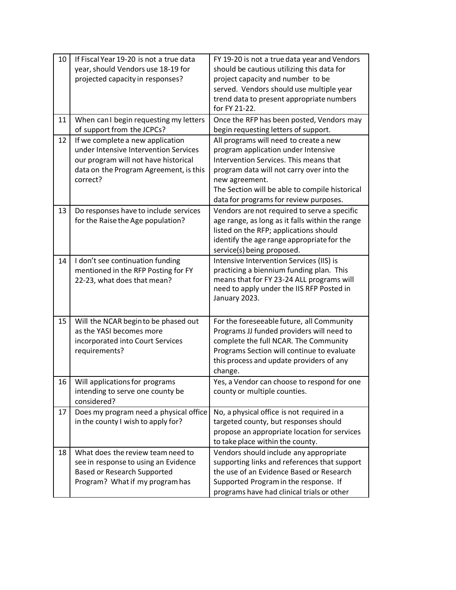| 10 | If Fiscal Year 19-20 is not a true data | FY 19-20 is not a true data year and Vendors    |
|----|-----------------------------------------|-------------------------------------------------|
|    | year, should Vendors use 18-19 for      | should be cautious utilizing this data for      |
|    | projected capacity in responses?        | project capacity and number to be               |
|    |                                         | served. Vendors should use multiple year        |
|    |                                         | trend data to present appropriate numbers       |
|    |                                         | for FY 21-22.                                   |
| 11 | When can I begin requesting my letters  | Once the RFP has been posted, Vendors may       |
|    | of support from the JCPCs?              | begin requesting letters of support.            |
| 12 | If we complete a new application        | All programs will need to create a new          |
|    | under Intensive Intervention Services   | program application under Intensive             |
|    | our program will not have historical    | Intervention Services. This means that          |
|    | data on the Program Agreement, is this  | program data will not carry over into the       |
|    | correct?                                | new agreement.                                  |
|    |                                         | The Section will be able to compile historical  |
|    |                                         | data for programs for review purposes.          |
| 13 | Do responses have to include services   | Vendors are not required to serve a specific    |
|    | for the Raise the Age population?       | age range, as long as it falls within the range |
|    |                                         | listed on the RFP; applications should          |
|    |                                         | identify the age range appropriate for the      |
|    |                                         | service(s) being proposed.                      |
| 14 | I don't see continuation funding        | Intensive Intervention Services (IIS) is        |
|    | mentioned in the RFP Posting for FY     | practicing a biennium funding plan. This        |
|    | 22-23, what does that mean?             | means that for FY 23-24 ALL programs will       |
|    |                                         | need to apply under the IIS RFP Posted in       |
|    |                                         | January 2023.                                   |
|    |                                         |                                                 |
| 15 | Will the NCAR begin to be phased out    | For the foreseeable future, all Community       |
|    | as the YASI becomes more                | Programs JJ funded providers will need to       |
|    | incorporated into Court Services        | complete the full NCAR. The Community           |
|    | requirements?                           | Programs Section will continue to evaluate      |
|    |                                         | this process and update providers of any        |
|    |                                         | change.                                         |
| 16 | Will applications for programs          | Yes, a Vendor can choose to respond for one     |
|    | intending to serve one county be        | county or multiple counties.                    |
|    | considered?                             |                                                 |
| 17 | Does my program need a physical office  | No, a physical office is not required in a      |
|    | in the county I wish to apply for?      | targeted county, but responses should           |
|    |                                         | propose an appropriate location for services    |
|    |                                         | to take place within the county.                |
| 18 | What does the review team need to       | Vendors should include any appropriate          |
|    | see in response to using an Evidence    | supporting links and references that support    |
|    | <b>Based or Research Supported</b>      | the use of an Evidence Based or Research        |
|    | Program? What if my program has         | Supported Program in the response. If           |
|    |                                         | programs have had clinical trials or other      |